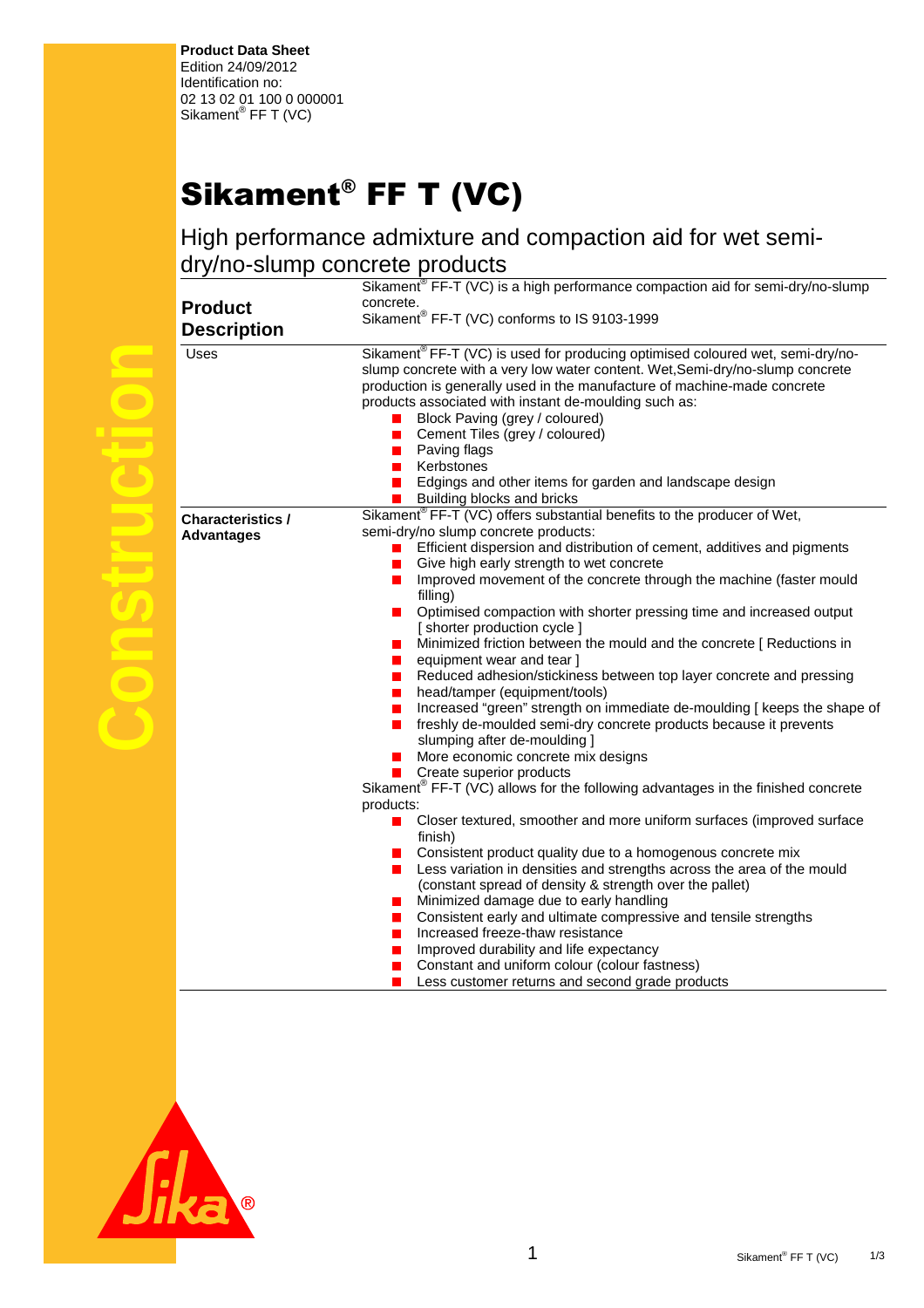**Product Data Sheet**  Edition 24/09/2012 Identification no: 02 13 02 01 100 0 000001 Sikament<sup>®</sup> FF T (VC)

## Sikament® FF T (VC)

High performance admixture and compaction aid for wet semidry/no-slump concrete products

|                                               | Sikament <sup>®</sup> FF-T (VC) is a high performance compaction aid for semi-dry/no-slump                                                                                                                                                                                                                                                                                                                                                                                                                                                                                                                                                                                             |
|-----------------------------------------------|----------------------------------------------------------------------------------------------------------------------------------------------------------------------------------------------------------------------------------------------------------------------------------------------------------------------------------------------------------------------------------------------------------------------------------------------------------------------------------------------------------------------------------------------------------------------------------------------------------------------------------------------------------------------------------------|
|                                               | concrete.                                                                                                                                                                                                                                                                                                                                                                                                                                                                                                                                                                                                                                                                              |
| <b>Product</b>                                | Sikament® FF-T (VC) conforms to IS 9103-1999                                                                                                                                                                                                                                                                                                                                                                                                                                                                                                                                                                                                                                           |
| <b>Description</b>                            |                                                                                                                                                                                                                                                                                                                                                                                                                                                                                                                                                                                                                                                                                        |
| <b>Uses</b>                                   | Sikament <sup>®</sup> FF-T (VC) is used for producing optimised coloured wet, semi-dry/no-<br>slump concrete with a very low water content. Wet, Semi-dry/no-slump concrete<br>production is generally used in the manufacture of machine-made concrete<br>products associated with instant de-moulding such as:<br>Block Paving (grey / coloured)<br>Cement Tiles (grey / coloured)<br><b>Contract</b><br>Paving flags<br>Kerbstones<br>$\blacksquare$<br>Edgings and other items for garden and landscape design<br>$\mathcal{L}$                                                                                                                                                    |
|                                               | Building blocks and bricks                                                                                                                                                                                                                                                                                                                                                                                                                                                                                                                                                                                                                                                             |
| <b>Characteristics /</b><br><b>Advantages</b> | Sikament <sup>®</sup> FF-T (VC) offers substantial benefits to the producer of Wet,<br>semi-dry/no slump concrete products:<br>Efficient dispersion and distribution of cement, additives and pigments<br>Give high early strength to wet concrete<br>Improved movement of the concrete through the machine (faster mould<br>$\blacksquare$<br>filling)<br>Optimised compaction with shorter pressing time and increased output<br>a a s<br>[ shorter production cycle ]<br>Minimized friction between the mould and the concrete [ Reductions in<br>equipment wear and tear ]<br>Reduced adhesion/stickiness between top layer concrete and pressing<br>head/tamper (equipment/tools) |
|                                               | Increased "green" strength on immediate de-moulding [ keeps the shape of<br>ш<br>freshly de-moulded semi-dry concrete products because it prevents<br>П<br>slumping after de-moulding ]<br>More economic concrete mix designs<br>Create superior products<br>Sikament <sup>®</sup> FF-T (VC) allows for the following advantages in the finished concrete                                                                                                                                                                                                                                                                                                                              |
|                                               | products:<br>Closer textured, smoother and more uniform surfaces (improved surface<br>finish)<br>Consistent product quality due to a homogenous concrete mix<br>Less variation in densities and strengths across the area of the mould<br>(constant spread of density & strength over the pallet)<br>Minimized damage due to early handling<br>Consistent early and ultimate compressive and tensile strengths<br>Increased freeze-thaw resistance<br>ш<br>Improved durability and life expectancy<br>Constant and uniform colour (colour fastness)<br>Less customer returns and second grade products                                                                                 |

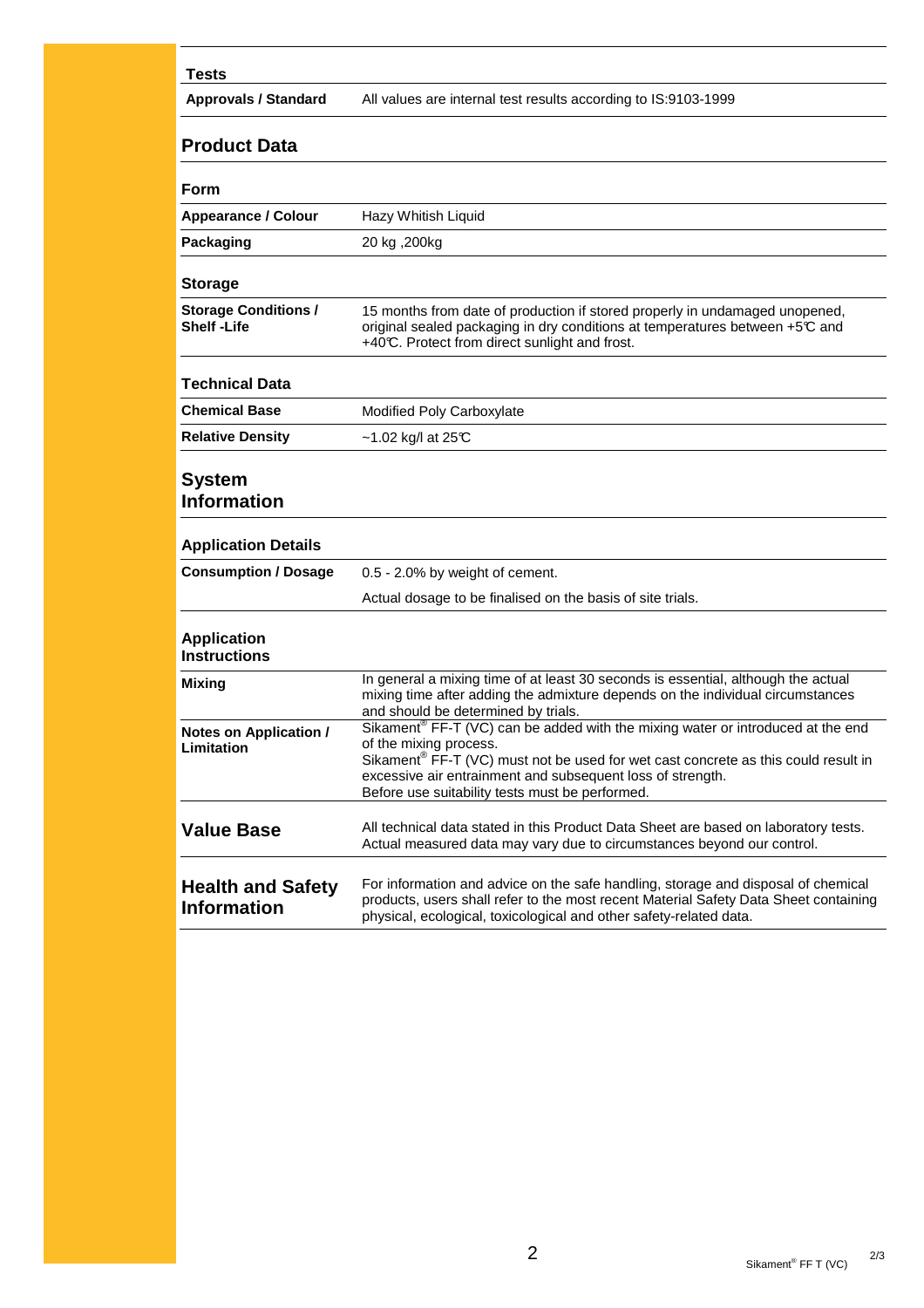## **Tests**

**Approvals / Standard** All values are internal test results according to IS:9103-1999

## **Product Data**

| Form                                           |                                                                                                                                                                                                                                                                                                                                          |
|------------------------------------------------|------------------------------------------------------------------------------------------------------------------------------------------------------------------------------------------------------------------------------------------------------------------------------------------------------------------------------------------|
| <b>Appearance / Colour</b>                     | Hazy Whitish Liquid                                                                                                                                                                                                                                                                                                                      |
| Packaging                                      | 20 kg ,200kg                                                                                                                                                                                                                                                                                                                             |
| <b>Storage</b>                                 |                                                                                                                                                                                                                                                                                                                                          |
|                                                |                                                                                                                                                                                                                                                                                                                                          |
| <b>Storage Conditions /</b><br>Shelf -Life     | 15 months from date of production if stored properly in undamaged unopened,<br>original sealed packaging in dry conditions at temperatures between +5℃ and<br>+40°C. Protect from direct sunlight and frost.                                                                                                                             |
| Technical Data                                 |                                                                                                                                                                                                                                                                                                                                          |
| <b>Chemical Base</b>                           | Modified Poly Carboxylate                                                                                                                                                                                                                                                                                                                |
| Relative Density                               | $\sim$ 1.02 kg/l at 25°C                                                                                                                                                                                                                                                                                                                 |
| System<br><b>Information</b>                   |                                                                                                                                                                                                                                                                                                                                          |
| <b>Application Details</b>                     |                                                                                                                                                                                                                                                                                                                                          |
| <b>Consumption / Dosage</b>                    | 0.5 - 2.0% by weight of cement.                                                                                                                                                                                                                                                                                                          |
|                                                | Actual dosage to be finalised on the basis of site trials.                                                                                                                                                                                                                                                                               |
| <b>Application</b><br>Instructions             |                                                                                                                                                                                                                                                                                                                                          |
| Mixing                                         | In general a mixing time of at least 30 seconds is essential, although the actual<br>mixing time after adding the admixture depends on the individual circumstances<br>and should be determined by trials.                                                                                                                               |
| Notes on Application /<br>Limitation           | Sikament <sup>®</sup> FF-T (VC) can be added with the mixing water or introduced at the end<br>of the mixing process.<br>Sikament <sup>®</sup> FF-T (VC) must not be used for wet cast concrete as this could result in<br>excessive air entrainment and subsequent loss of strength.<br>Before use suitability tests must be performed. |
| <b>Value Base</b>                              | All technical data stated in this Product Data Sheet are based on laboratory tests.<br>Actual measured data may vary due to circumstances beyond our control.                                                                                                                                                                            |
| <b>Health and Safety</b><br><b>Information</b> | For information and advice on the safe handling, storage and disposal of chemical<br>products, users shall refer to the most recent Material Safety Data Sheet containing<br>physical, ecological, toxicological and other safety-related data.                                                                                          |